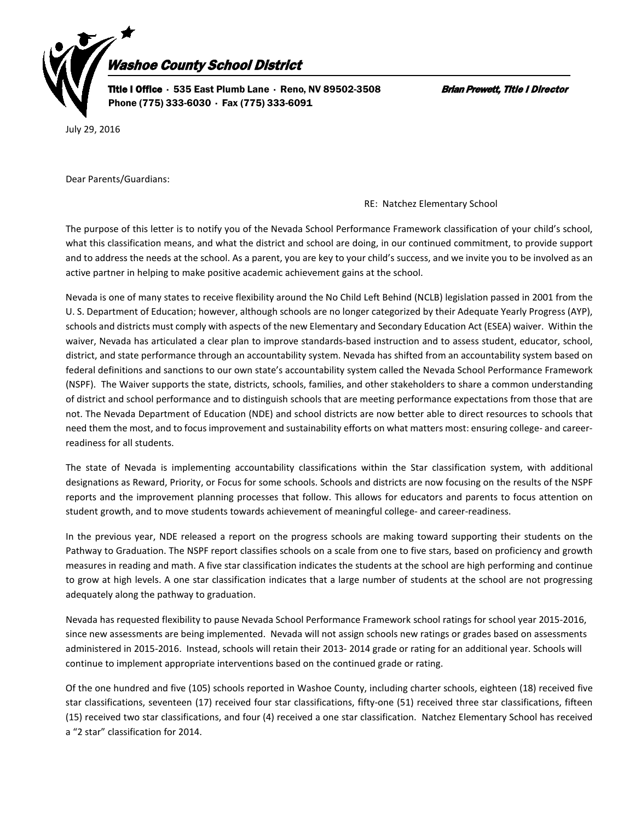

July 29, 2016

Dear Parents/Guardians:

## RE: Natchez Elementary School

The purpose of this letter is to notify you of the Nevada School Performance Framework classification of your child's school, what this classification means, and what the district and school are doing, in our continued commitment, to provide support and to address the needs at the school. As a parent, you are key to your child's success, and we invite you to be involved as an active partner in helping to make positive academic achievement gains at the school.

Nevada is one of many states to receive flexibility around the No Child Left Behind (NCLB) legislation passed in 2001 from the U. S. Department of Education; however, although schools are no longer categorized by their Adequate Yearly Progress (AYP), schools and districts must comply with aspects of the new Elementary and Secondary Education Act (ESEA) waiver. Within the waiver, Nevada has articulated a clear plan to improve standards-based instruction and to assess student, educator, school, district, and state performance through an accountability system. Nevada has shifted from an accountability system based on federal definitions and sanctions to our own state's accountability system called the Nevada School Performance Framework (NSPF). The Waiver supports the state, districts, schools, families, and other stakeholders to share a common understanding of district and school performance and to distinguish schools that are meeting performance expectations from those that are not. The Nevada Department of Education (NDE) and school districts are now better able to direct resources to schools that need them the most, and to focus improvement and sustainability efforts on what matters most: ensuring college- and careerreadiness for all students.

The state of Nevada is implementing accountability classifications within the Star classification system, with additional designations as Reward, Priority, or Focus for some schools. Schools and districts are now focusing on the results of the NSPF reports and the improvement planning processes that follow. This allows for educators and parents to focus attention on student growth, and to move students towards achievement of meaningful college- and career-readiness.

In the previous year, NDE released a report on the progress schools are making toward supporting their students on the Pathway to Graduation. The NSPF report classifies schools on a scale from one to five stars, based on proficiency and growth measures in reading and math. A five star classification indicates the students at the school are high performing and continue to grow at high levels. A one star classification indicates that a large number of students at the school are not progressing adequately along the pathway to graduation.

Nevada has requested flexibility to pause Nevada School Performance Framework school ratings for school year 2015-2016, since new assessments are being implemented. Nevada will not assign schools new ratings or grades based on assessments administered in 2015-2016. Instead, schools will retain their 2013- 2014 grade or rating for an additional year. Schools will continue to implement appropriate interventions based on the continued grade or rating.

Of the one hundred and five (105) schools reported in Washoe County, including charter schools, eighteen (18) received five star classifications, seventeen (17) received four star classifications, fifty-one (51) received three star classifications, fifteen (15) received two star classifications, and four (4) received a one star classification. Natchez Elementary School has received a "2 star" classification for 2014.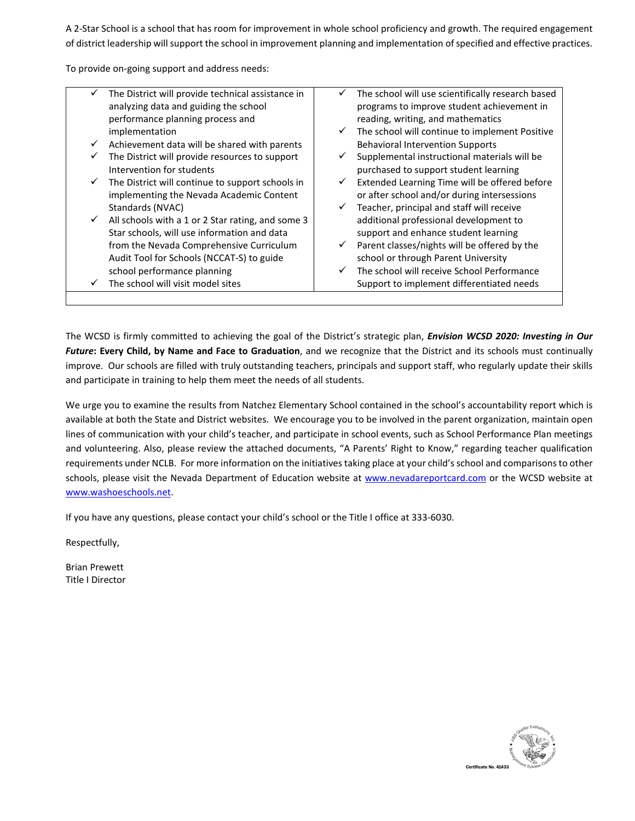A 2-Star School is a school that has room for improvement in whole school proficiency and growth. The required engagement of district leadership will support the school in improvement planning and implementation of specified and effective practices.

To provide on-going support and address needs:

|   | The District will provide technical assistance in | ✓            | The school will use scientifically research based |
|---|---------------------------------------------------|--------------|---------------------------------------------------|
|   | analyzing data and guiding the school             |              | programs to improve student achievement in        |
|   | performance planning process and                  |              | reading, writing, and mathematics                 |
|   | implementation                                    | $\checkmark$ | The school will continue to implement Positive    |
| ✓ | Achievement data will be shared with parents      |              | <b>Behavioral Intervention Supports</b>           |
|   | The District will provide resources to support    | $\checkmark$ | Supplemental instructional materials will be      |
|   | Intervention for students                         |              | purchased to support student learning             |
| ✓ | The District will continue to support schools in  | $\checkmark$ | Extended Learning Time will be offered before     |
|   | implementing the Nevada Academic Content          |              | or after school and/or during intersessions       |
|   | Standards (NVAC)                                  | $\checkmark$ | Teacher, principal and staff will receive         |
| ✓ | All schools with a 1 or 2 Star rating, and some 3 |              | additional professional development to            |
|   | Star schools, will use information and data       |              | support and enhance student learning              |
|   | from the Nevada Comprehensive Curriculum          | $\checkmark$ | Parent classes/nights will be offered by the      |
|   | Audit Tool for Schools (NCCAT-S) to guide         |              | school or through Parent University               |
|   | school performance planning                       | $\checkmark$ | The school will receive School Performance        |
|   | The school will visit model sites                 |              | Support to implement differentiated needs         |
|   |                                                   |              |                                                   |

The WCSD is firmly committed to achieving the goal of the District's strategic plan, *Envision WCSD 2020: Investing in Our Future***: Every Child, by Name and Face to Graduation**, and we recognize that the District and its schools must continually improve. Our schools are filled with truly outstanding teachers, principals and support staff, who regularly update their skills and participate in training to help them meet the needs of all students.

We urge you to examine the results from Natchez Elementary School contained in the school's accountability report which is available at both the State and District websites. We encourage you to be involved in the parent organization, maintain open lines of communication with your child's teacher, and participate in school events, such as School Performance Plan meetings and volunteering. Also, please review the attached documents, "A Parents' Right to Know," regarding teacher qualification requirements under NCLB. For more information on the initiatives taking place at your child's school and comparisons to other schools, please visit the Nevada Department of Education website at [www.nevadareportcard.com](http://www.nevadareportcard.com/) or the WCSD website at [www.washoeschools.net.](http://www.washoeschools.net/)

If you have any questions, please contact your child's school or the Title I office at 333-6030.

Respectfully,

Brian Prewett Title I Director

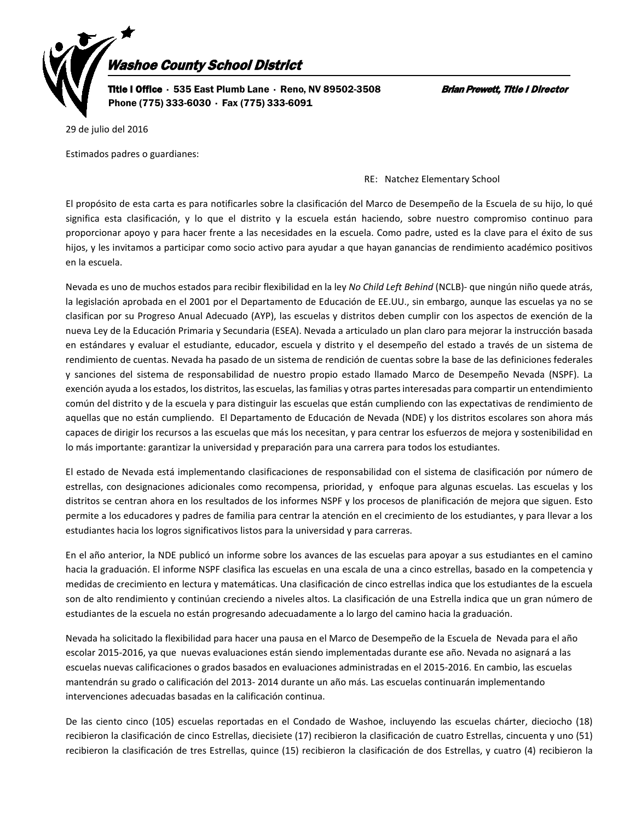

29 de julio del 2016

Estimados padres o guardianes:

## RE: Natchez Elementary School

El propósito de esta carta es para notificarles sobre la clasificación del Marco de Desempeño de la Escuela de su hijo, lo qué significa esta clasificación, y lo que el distrito y la escuela están haciendo, sobre nuestro compromiso continuo para proporcionar apoyo y para hacer frente a las necesidades en la escuela. Como padre, usted es la clave para el éxito de sus hijos, y les invitamos a participar como socio activo para ayudar a que hayan ganancias de rendimiento académico positivos en la escuela.

Nevada es uno de muchos estados para recibir flexibilidad en la ley *No Child Left Behind* (NCLB)- que ningún niño quede atrás, la legislación aprobada en el 2001 por el Departamento de Educación de EE.UU., sin embargo, aunque las escuelas ya no se clasifican por su Progreso Anual Adecuado (AYP), las escuelas y distritos deben cumplir con los aspectos de exención de la nueva Ley de la Educación Primaria y Secundaria (ESEA). Nevada a articulado un plan claro para mejorar la instrucción basada en estándares y evaluar el estudiante, educador, escuela y distrito y el desempeño del estado a través de un sistema de rendimiento de cuentas. Nevada ha pasado de un sistema de rendición de cuentas sobre la base de las definiciones federales y sanciones del sistema de responsabilidad de nuestro propio estado llamado Marco de Desempeño Nevada (NSPF). La exención ayuda a los estados, los distritos, las escuelas, las familias y otras partes interesadas para compartir un entendimiento común del distrito y de la escuela y para distinguir las escuelas que están cumpliendo con las expectativas de rendimiento de aquellas que no están cumpliendo. El Departamento de Educación de Nevada (NDE) y los distritos escolares son ahora más capaces de dirigir los recursos a las escuelas que más los necesitan, y para centrar los esfuerzos de mejora y sostenibilidad en lo más importante: garantizar la universidad y preparación para una carrera para todos los estudiantes.

El estado de Nevada está implementando clasificaciones de responsabilidad con el sistema de clasificación por número de estrellas, con designaciones adicionales como recompensa, prioridad, y enfoque para algunas escuelas. Las escuelas y los distritos se centran ahora en los resultados de los informes NSPF y los procesos de planificación de mejora que siguen. Esto permite a los educadores y padres de familia para centrar la atención en el crecimiento de los estudiantes, y para llevar a los estudiantes hacia los logros significativos listos para la universidad y para carreras.

En el año anterior, la NDE publicó un informe sobre los avances de las escuelas para apoyar a sus estudiantes en el camino hacia la graduación. El informe NSPF clasifica las escuelas en una escala de una a cinco estrellas, basado en la competencia y medidas de crecimiento en lectura y matemáticas. Una clasificación de cinco estrellas indica que los estudiantes de la escuela son de alto rendimiento y continúan creciendo a niveles altos. La clasificación de una Estrella indica que un gran número de estudiantes de la escuela no están progresando adecuadamente a lo largo del camino hacia la graduación.

Nevada ha solicitado la flexibilidad para hacer una pausa en el Marco de Desempeño de la Escuela de Nevada para el año escolar 2015-2016, ya que nuevas evaluaciones están siendo implementadas durante ese año. Nevada no asignará a las escuelas nuevas calificaciones o grados basados en evaluaciones administradas en el 2015-2016. En cambio, las escuelas mantendrán su grado o calificación del 2013- 2014 durante un año más. Las escuelas continuarán implementando intervenciones adecuadas basadas en la calificación continua.

De las ciento cinco (105) escuelas reportadas en el Condado de Washoe, incluyendo las escuelas chárter, dieciocho (18) recibieron la clasificación de cinco Estrellas, diecisiete (17) recibieron la clasificación de cuatro Estrellas, cincuenta y uno (51) recibieron la clasificación de tres Estrellas, quince (15) recibieron la clasificación de dos Estrellas, y cuatro (4) recibieron la